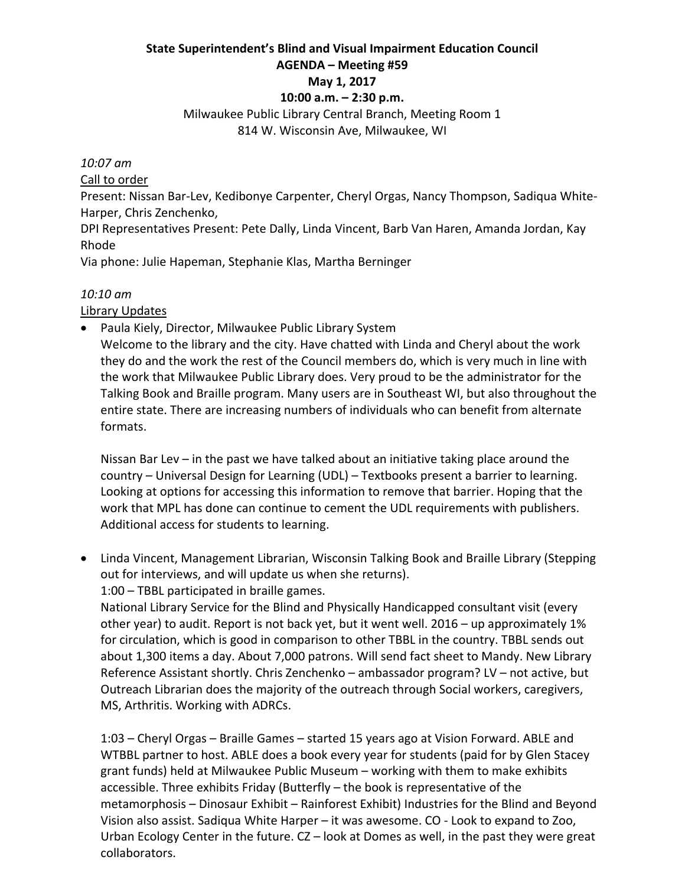#### **State Superintendent's Blind and Visual Impairment Education Council AGENDA – Meeting #59 May 1, 2017**

#### **10:00 a.m. – 2:30 p.m.**

Milwaukee Public Library Central Branch, Meeting Room 1 814 W. Wisconsin Ave, Milwaukee, WI

#### *10:07 am*

Call to order

Present: Nissan Bar‐Lev, Kedibonye Carpenter, Cheryl Orgas, Nancy Thompson, Sadiqua White‐ Harper, Chris Zenchenko,

DPI Representatives Present: Pete Dally, Linda Vincent, Barb Van Haren, Amanda Jordan, Kay Rhode

Via phone: Julie Hapeman, Stephanie Klas, Martha Berninger

#### *10:10 am*

Library Updates

• Paula Kiely, Director, Milwaukee Public Library System

Welcome to the library and the city. Have chatted with Linda and Cheryl about the work they do and the work the rest of the Council members do, which is very much in line with the work that Milwaukee Public Library does. Very proud to be the administrator for the Talking Book and Braille program. Many users are in Southeast WI, but also throughout the entire state. There are increasing numbers of individuals who can benefit from alternate formats.

Nissan Bar Lev – in the past we have talked about an initiative taking place around the country – Universal Design for Learning (UDL) – Textbooks present a barrier to learning. Looking at options for accessing this information to remove that barrier. Hoping that the work that MPL has done can continue to cement the UDL requirements with publishers. Additional access for students to learning.

 Linda Vincent, Management Librarian, Wisconsin Talking Book and Braille Library (Stepping out for interviews, and will update us when she returns). 1:00 – TBBL participated in braille games.

National Library Service for the Blind and Physically Handicapped consultant visit (every other year) to audit. Report is not back yet, but it went well. 2016 – up approximately 1% for circulation, which is good in comparison to other TBBL in the country. TBBL sends out about 1,300 items a day. About 7,000 patrons. Will send fact sheet to Mandy. New Library Reference Assistant shortly. Chris Zenchenko – ambassador program? LV – not active, but Outreach Librarian does the majority of the outreach through Social workers, caregivers, MS, Arthritis. Working with ADRCs.

1:03 – Cheryl Orgas – Braille Games – started 15 years ago at Vision Forward. ABLE and WTBBL partner to host. ABLE does a book every year for students (paid for by Glen Stacey grant funds) held at Milwaukee Public Museum – working with them to make exhibits accessible. Three exhibits Friday (Butterfly – the book is representative of the metamorphosis – Dinosaur Exhibit – Rainforest Exhibit) Industries for the Blind and Beyond Vision also assist. Sadiqua White Harper – it was awesome. CO ‐ Look to expand to Zoo, Urban Ecology Center in the future. CZ – look at Domes as well, in the past they were great collaborators.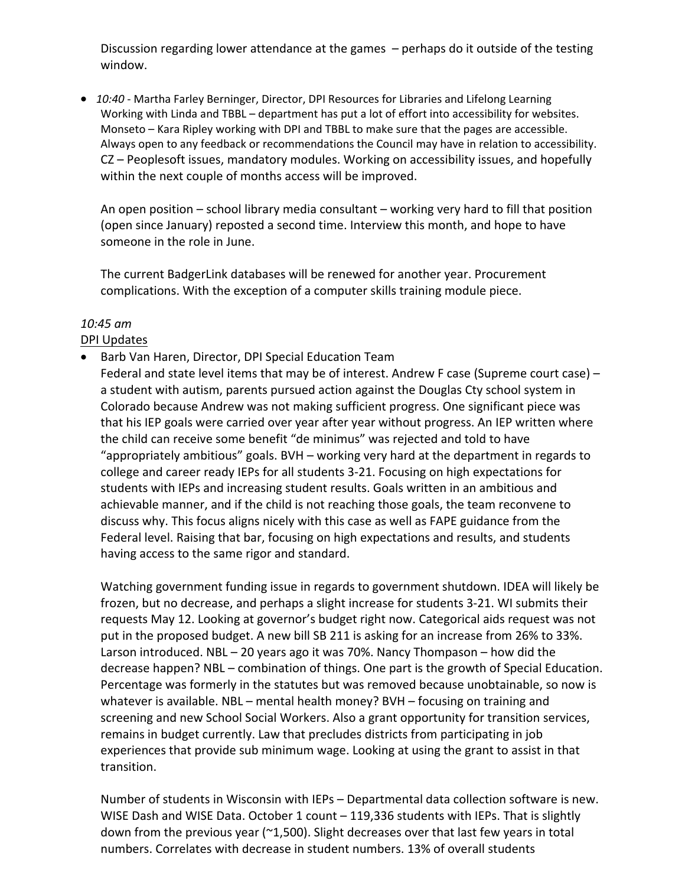Discussion regarding lower attendance at the games – perhaps do it outside of the testing window.

● 10:40 - Martha Farley Berninger, Director, DPI Resources for Libraries and Lifelong Learning Working with Linda and TBBL – department has put a lot of effort into accessibility for websites. Monseto – Kara Ripley working with DPI and TBBL to make sure that the pages are accessible. Always open to any feedback or recommendations the Council may have in relation to accessibility. CZ – Peoplesoft issues, mandatory modules. Working on accessibility issues, and hopefully within the next couple of months access will be improved.

An open position – school library media consultant – working very hard to fill that position (open since January) reposted a second time. Interview this month, and hope to have someone in the role in June.

The current BadgerLink databases will be renewed for another year. Procurement complications. With the exception of a computer skills training module piece.

# *10:45 am*

## DPI Updates

 Barb Van Haren, Director, DPI Special Education Team Federal and state level items that may be of interest. Andrew F case (Supreme court case) – a student with autism, parents pursued action against the Douglas Cty school system in Colorado because Andrew was not making sufficient progress. One significant piece was that his IEP goals were carried over year after year without progress. An IEP written where the child can receive some benefit "de minimus" was rejected and told to have "appropriately ambitious" goals. BVH – working very hard at the department in regards to college and career ready IEPs for all students 3‐21. Focusing on high expectations for students with IEPs and increasing student results. Goals written in an ambitious and achievable manner, and if the child is not reaching those goals, the team reconvene to discuss why. This focus aligns nicely with this case as well as FAPE guidance from the Federal level. Raising that bar, focusing on high expectations and results, and students having access to the same rigor and standard.

Watching government funding issue in regards to government shutdown. IDEA will likely be frozen, but no decrease, and perhaps a slight increase for students 3‐21. WI submits their requests May 12. Looking at governor's budget right now. Categorical aids request was not put in the proposed budget. A new bill SB 211 is asking for an increase from 26% to 33%. Larson introduced. NBL – 20 years ago it was 70%. Nancy Thompason – how did the decrease happen? NBL – combination of things. One part is the growth of Special Education. Percentage was formerly in the statutes but was removed because unobtainable, so now is whatever is available. NBL – mental health money? BVH – focusing on training and screening and new School Social Workers. Also a grant opportunity for transition services, remains in budget currently. Law that precludes districts from participating in job experiences that provide sub minimum wage. Looking at using the grant to assist in that transition.

Number of students in Wisconsin with IEPs – Departmental data collection software is new. WISE Dash and WISE Data. October 1 count - 119,336 students with IEPs. That is slightly down from the previous year  $(2,500)$ . Slight decreases over that last few years in total numbers. Correlates with decrease in student numbers. 13% of overall students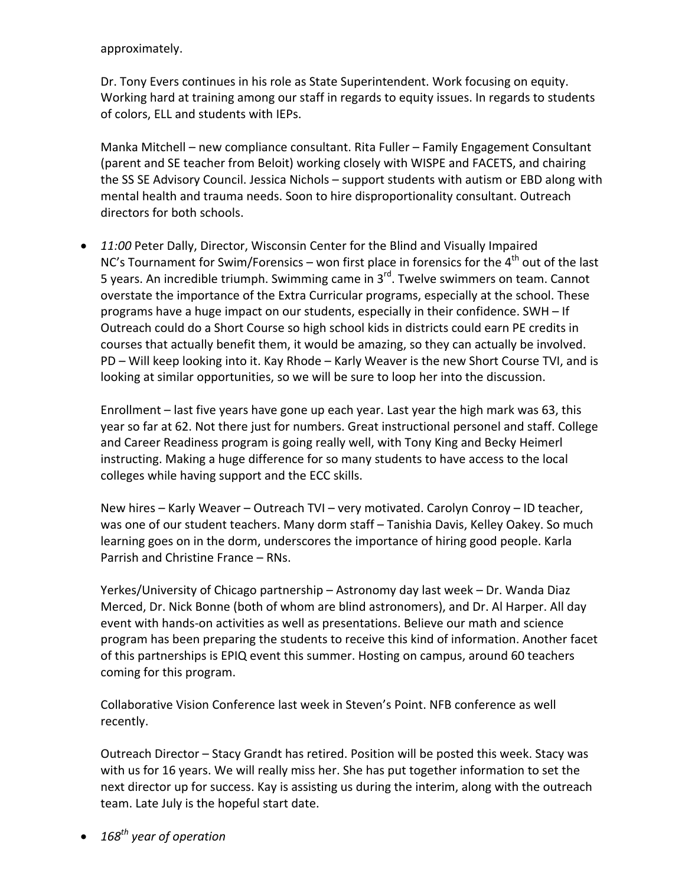approximately.

Dr. Tony Evers continues in his role as State Superintendent. Work focusing on equity. Working hard at training among our staff in regards to equity issues. In regards to students of colors, ELL and students with IEPs.

Manka Mitchell – new compliance consultant. Rita Fuller – Family Engagement Consultant (parent and SE teacher from Beloit) working closely with WISPE and FACETS, and chairing the SS SE Advisory Council. Jessica Nichols – support students with autism or EBD along with mental health and trauma needs. Soon to hire disproportionality consultant. Outreach directors for both schools.

 *11:00* Peter Dally, Director, Wisconsin Center for the Blind and Visually Impaired NC's Tournament for Swim/Forensics – won first place in forensics for the  $4<sup>th</sup>$  out of the last 5 years. An incredible triumph. Swimming came in  $3^{rd}$ . Twelve swimmers on team. Cannot overstate the importance of the Extra Curricular programs, especially at the school. These programs have a huge impact on our students, especially in their confidence. SWH – If Outreach could do a Short Course so high school kids in districts could earn PE credits in courses that actually benefit them, it would be amazing, so they can actually be involved. PD – Will keep looking into it. Kay Rhode – Karly Weaver is the new Short Course TVI, and is looking at similar opportunities, so we will be sure to loop her into the discussion.

Enrollment – last five years have gone up each year. Last year the high mark was 63, this year so far at 62. Not there just for numbers. Great instructional personel and staff. College and Career Readiness program is going really well, with Tony King and Becky Heimerl instructing. Making a huge difference for so many students to have access to the local colleges while having support and the ECC skills.

New hires – Karly Weaver – Outreach TVI – very motivated. Carolyn Conroy – ID teacher, was one of our student teachers. Many dorm staff – Tanishia Davis, Kelley Oakey. So much learning goes on in the dorm, underscores the importance of hiring good people. Karla Parrish and Christine France – RNs.

Yerkes/University of Chicago partnership – Astronomy day last week – Dr. Wanda Diaz Merced, Dr. Nick Bonne (both of whom are blind astronomers), and Dr. Al Harper. All day event with hands‐on activities as well as presentations. Believe our math and science program has been preparing the students to receive this kind of information. Another facet of this partnerships is EPIQ event this summer. Hosting on campus, around 60 teachers coming for this program.

Collaborative Vision Conference last week in Steven's Point. NFB conference as well recently.

Outreach Director – Stacy Grandt has retired. Position will be posted this week. Stacy was with us for 16 years. We will really miss her. She has put together information to set the next director up for success. Kay is assisting us during the interim, along with the outreach team. Late July is the hopeful start date.

*168th year of operation*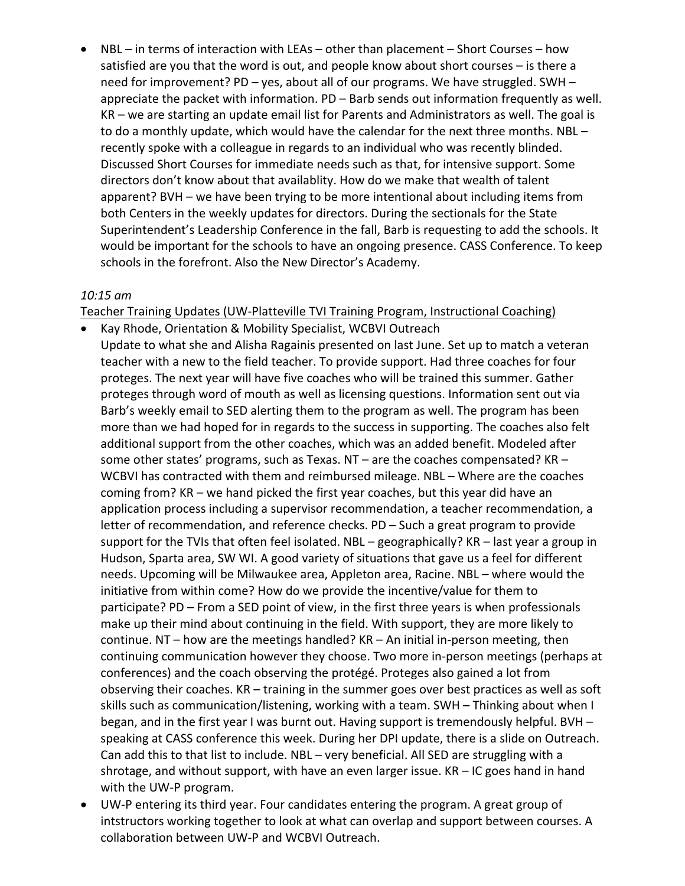NBL – in terms of interaction with LEAs – other than placement – Short Courses – how satisfied are you that the word is out, and people know about short courses – is there a need for improvement? PD – yes, about all of our programs. We have struggled. SWH – appreciate the packet with information. PD – Barb sends out information frequently as well. KR – we are starting an update email list for Parents and Administrators as well. The goal is to do a monthly update, which would have the calendar for the next three months. NBL – recently spoke with a colleague in regards to an individual who was recently blinded. Discussed Short Courses for immediate needs such as that, for intensive support. Some directors don't know about that availablity. How do we make that wealth of talent apparent? BVH – we have been trying to be more intentional about including items from both Centers in the weekly updates for directors. During the sectionals for the State Superintendent's Leadership Conference in the fall, Barb is requesting to add the schools. It would be important for the schools to have an ongoing presence. CASS Conference. To keep schools in the forefront. Also the New Director's Academy.

#### *10:15 am*

Teacher Training Updates (UW‐Platteville TVI Training Program, Instructional Coaching)

- Kay Rhode, Orientation & Mobility Specialist, WCBVI Outreach Update to what she and Alisha Ragainis presented on last June. Set up to match a veteran teacher with a new to the field teacher. To provide support. Had three coaches for four proteges. The next year will have five coaches who will be trained this summer. Gather proteges through word of mouth as well as licensing questions. Information sent out via Barb's weekly email to SED alerting them to the program as well. The program has been more than we had hoped for in regards to the success in supporting. The coaches also felt additional support from the other coaches, which was an added benefit. Modeled after some other states' programs, such as Texas. NT – are the coaches compensated? KR – WCBVI has contracted with them and reimbursed mileage. NBL – Where are the coaches coming from? KR – we hand picked the first year coaches, but this year did have an application process including a supervisor recommendation, a teacher recommendation, a letter of recommendation, and reference checks. PD – Such a great program to provide support for the TVIs that often feel isolated. NBL – geographically? KR – last year a group in Hudson, Sparta area, SW WI. A good variety of situations that gave us a feel for different needs. Upcoming will be Milwaukee area, Appleton area, Racine. NBL – where would the initiative from within come? How do we provide the incentive/value for them to participate? PD – From a SED point of view, in the first three years is when professionals make up their mind about continuing in the field. With support, they are more likely to continue. NT – how are the meetings handled? KR – An initial in-person meeting, then continuing communication however they choose. Two more in‐person meetings (perhaps at conferences) and the coach observing the protégé. Proteges also gained a lot from observing their coaches. KR – training in the summer goes over best practices as well as soft skills such as communication/listening, working with a team. SWH – Thinking about when I began, and in the first year I was burnt out. Having support is tremendously helpful. BVH – speaking at CASS conference this week. During her DPI update, there is a slide on Outreach. Can add this to that list to include. NBL – very beneficial. All SED are struggling with a shrotage, and without support, with have an even larger issue. KR – IC goes hand in hand with the UW‐P program.
- UW-P entering its third year. Four candidates entering the program. A great group of intstructors working together to look at what can overlap and support between courses. A collaboration between UW‐P and WCBVI Outreach.